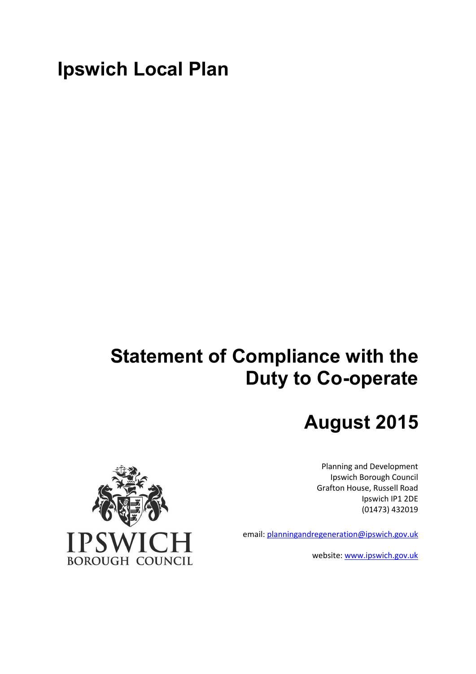# **Ipswich Local Plan**

# **Statement of Compliance with the Duty to Co-operate**

# **August 2015**

Planning and Development Ipswich Borough Council Grafton House, Russell Road Ipswich IP1 2DE (01473) 432019

email: planningandregeneration@ipswich.gov.uk

website: www.ipswich.gov.uk

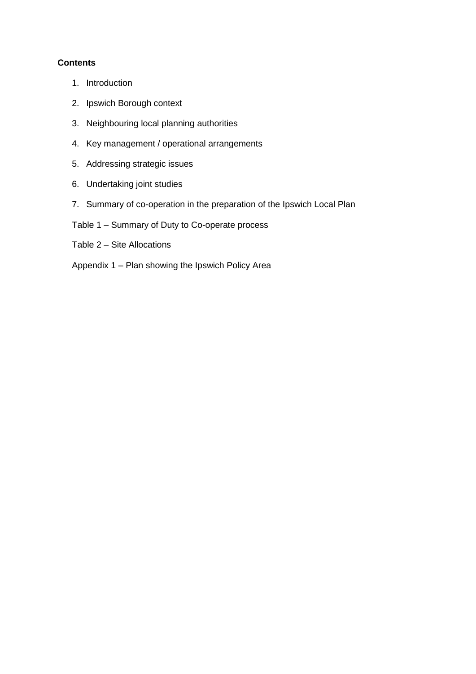# **Contents**

- 1. Introduction
- 2. Ipswich Borough context
- 3. Neighbouring local planning authorities
- 4. Key management / operational arrangements
- 5. Addressing strategic issues
- 6. Undertaking joint studies
- 7. Summary of co-operation in the preparation of the Ipswich Local Plan
- Table  $1 -$  Summary of Duty to Co-operate process
- Table  $2 -$  Site Allocations
- Appendix  $1 -$  Plan showing the Ipswich Policy Area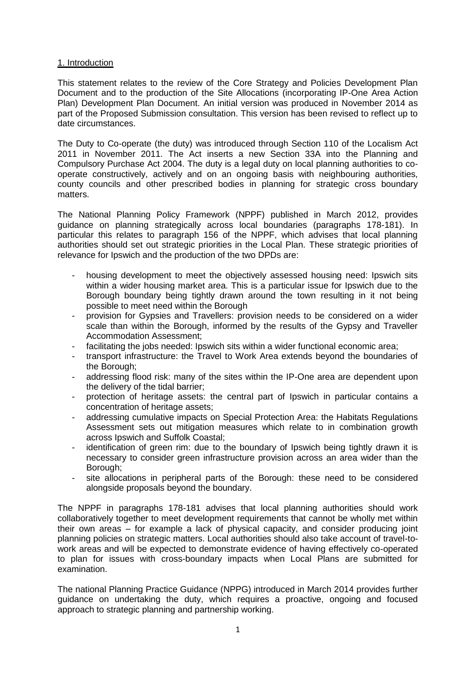# 1. Introduction

This statement relates to the review of the Core Strategy and Policies Development Plan Document and to the production of the Site Allocations (incorporating IP-One Area Action Plan) Development Plan Document. An initial version was produced in November 2014 as part of the Proposed Submission consultation. This version has been revised to reflect up to date circumstances.

The Duty to Co-operate (the duty) was introduced through Section 110 of the Localism Act 2011 in November 2011. The Act inserts a new Section 33A into the Planning and Compulsory Purchase Act 2004. The duty is a legal duty on local planning authorities to cooperate constructively, actively and on an ongoing basis with neighbouring authorities, county councils and other prescribed bodies in planning for strategic cross boundary matters.

The National Planning Policy Framework (NPPF) published in March 2012, provides guidance on planning strategically across local boundaries (paragraphs 178-181). In particular this relates to paragraph 156 of the NPPF, which advises that local planning authorities should set out strategic priorities in the Local Plan. These strategic priorities of relevance for Ipswich and the production of the two DPDs are:

- housing development to meet the objectively assessed housing need: Ipswich sits within a wider housing market area. This is a particular issue for Ipswich due to the Borough boundary being tightly drawn around the town resulting in it not being possible to meet need within the Borough
- provision for Gypsies and Travellers: provision needs to be considered on a wider scale than within the Borough, informed by the results of the Gypsy and Traveller Accommodation Assessment;
- facilitating the jobs needed: Ipswich sits within a wider functional economic area;
- transport infrastructure: the Travel to Work Area extends beyond the boundaries of the Borough;
- addressing flood risk: many of the sites within the IP-One area are dependent upon the delivery of the tidal barrier;
- protection of heritage assets: the central part of Ipswich in particular contains a concentration of heritage assets;
- addressing cumulative impacts on Special Protection Area: the Habitats Regulations Assessment sets out mitigation measures which relate to in combination growth across Ipswich and Suffolk Coastal;
- identification of green rim: due to the boundary of Ipswich being tightly drawn it is necessary to consider green infrastructure provision across an area wider than the Borough;
- site allocations in peripheral parts of the Borough: these need to be considered alongside proposals beyond the boundary.

The NPPF in paragraphs 178-181 advises that local planning authorities should work collaboratively together to meet development requirements that cannot be wholly met within their own areas  $-$  for example a lack of physical capacity, and consider producing joint planning policies on strategic matters. Local authorities should also take account of travel-towork areas and will be expected to demonstrate evidence of having effectively co-operated to plan for issues with cross-boundary impacts when Local Plans are submitted for examination.

The national Planning Practice Guidance (NPPG) introduced in March 2014 provides further guidance on undertaking the duty, which requires a proactive, ongoing and focused approach to strategic planning and partnership working.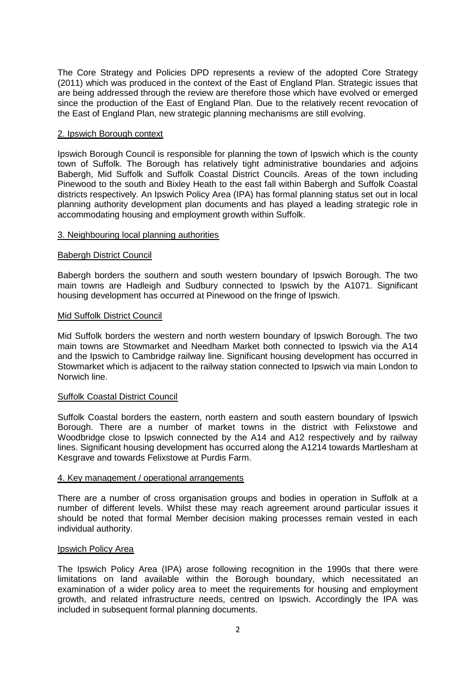The Core Strategy and Policies DPD represents a review of the adopted Core Strategy (2011) which was produced in the context of the East of England Plan. Strategic issues that are being addressed through the review are therefore those which have evolved or emerged since the production of the East of England Plan. Due to the relatively recent revocation of the East of England Plan, new strategic planning mechanisms are still evolving.

# 2. Ipswich Borough context

Ipswich Borough Council is responsible for planning the town of Ipswich which is the county town of Suffolk. The Borough has relatively tight administrative boundaries and adjoins Babergh, Mid Suffolk and Suffolk Coastal District Councils. Areas of the town including Pinewood to the south and Bixley Heath to the east fall within Babergh and Suffolk Coastal districts respectively. An Ipswich Policy Area (IPA) has formal planning status set out in local planning authority development plan documents and has played a leading strategic role in accommodating housing and employment growth within Suffolk.

# 3. Neighbouring local planning authorities

#### Babergh District Council

Babergh borders the southern and south western boundary of Ipswich Borough. The two main towns are Hadleigh and Sudbury connected to Ipswich by the A1071. Significant housing development has occurred at Pinewood on the fringe of Ipswich.

#### Mid Suffolk District Council

Mid Suffolk borders the western and north western boundary of Ipswich Borough. The two main towns are Stowmarket and Needham Market both connected to Ipswich via the A14 and the Ipswich to Cambridge railway line. Significant housing development has occurred in Stowmarket which is adjacent to the railway station connected to Ipswich via main London to Norwich line.

#### Suffolk Coastal District Council

Suffolk Coastal borders the eastern, north eastern and south eastern boundary of Ipswich Borough. There are a number of market towns in the district with Felixstowe and Woodbridge close to Ipswich connected by the A14 and A12 respectively and by railway lines. Significant housing development has occurred along the A1214 towards Martlesham at Kesgrave and towards Felixstowe at Purdis Farm.

#### 4. Key management / operational arrangements

There are a number of cross organisation groups and bodies in operation in Suffolk at a number of different levels. Whilst these may reach agreement around particular issues it should be noted that formal Member decision making processes remain vested in each individual authority.

#### Ipswich Policy Area

The Ipswich Policy Area (IPA) arose following recognition in the 1990s that there were limitations on land available within the Borough boundary, which necessitated an examination of a wider policy area to meet the requirements for housing and employment growth, and related infrastructure needs, centred on Ipswich. Accordingly the IPA was included in subsequent formal planning documents.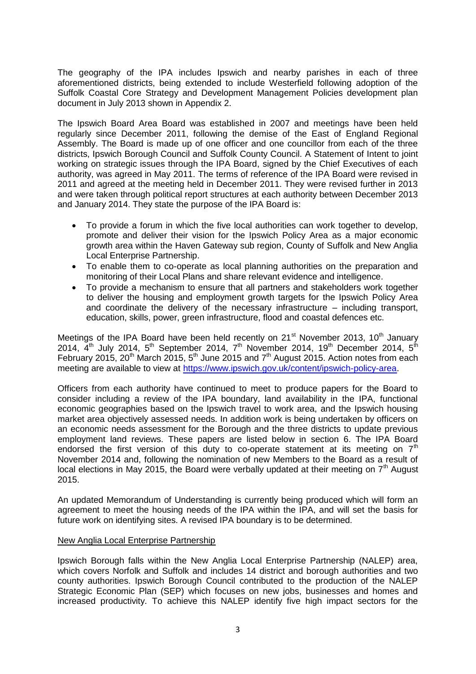The geography of the IPA includes Ipswich and nearby parishes in each of three aforementioned districts, being extended to include Westerfield following adoption of the Suffolk Coastal Core Strategy and Development Management Policies development plan document in July 2013 shown in Appendix 2.

The Ipswich Board Area Board was established in 2007 and meetings have been held regularly since December 2011, following the demise of the East of England Regional Assembly. The Board is made up of one officer and one councillor from each of the three districts, Ipswich Borough Council and Suffolk County Council. A Statement of Intent to joint working on strategic issues through the IPA Board, signed by the Chief Executives of each authority, was agreed in May 2011. The terms of reference of the IPA Board were revised in 2011 and agreed at the meeting held in December 2011. They were revised further in 2013 and were taken through political report structures at each authority between December 2013 and January 2014. They state the purpose of the IPA Board is:

- $\bullet$  To provide a forum in which the five local authorities can work together to develop, promote and deliver their vision for the Ipswich Policy Area as a major economic growth area within the Haven Gateway sub region, County of Suffolk and New Anglia Local Enterprise Partnership.
- $\bullet$  To enable them to co-operate as local planning authorities on the preparation and monitoring of their Local Plans and share relevant evidence and intelligence.
- ' To provide a mechanism to ensure that all partners and stakeholders work together to deliver the housing and employment growth targets for the Ipswich Policy Area and coordinate the delivery of the necessary infrastructure  $-$  including transport, education, skills, power, green infrastructure, flood and coastal defences etc.

Meetings of the IPA Board have been held recently on 21<sup>st</sup> November 2013, 10<sup>th</sup> January 2014,  $\vec{4}^{\text{th}}$  July 2014,  $5^{\text{th}}$  September 2014,  $7^{\text{th}}$  November 2014, 19<sup>th</sup> December 2014,  $5^{\text{th}}$ February 2015, 20<sup>th</sup> March 2015, 5<sup>th</sup> June 2015 and  $7<sup>th</sup>$  August 2015. Action notes from each meeting are available to view at https://www.ipswich.gov.uk/content/ipswich-policy-area.

Officers from each authority have continued to meet to produce papers for the Board to consider including a review of the IPA boundary, land availability in the IPA, functional economic geographies based on the Ipswich travel to work area, and the Ipswich housing market area objectively assessed needs. In addition work is being undertaken by officers on an economic needs assessment for the Borough and the three districts to update previous employment land reviews. These papers are listed below in section 6. The IPA Board endorsed the first version of this duty to co-operate statement at its meeting on  $7<sup>th</sup>$ November 2014 and, following the nomination of new Members to the Board as a result of local elections in May 2015, the Board were verbally updated at their meeting on  $7<sup>th</sup>$  August 2015.

An updated Memorandum of Understanding is currently being produced which will form an agreement to meet the housing needs of the IPA within the IPA, and will set the basis for future work on identifying sites. A revised IPA boundary is to be determined.

#### New Anglia Local Enterprise Partnership

Ipswich Borough falls within the New Anglia Local Enterprise Partnership (NALEP) area, which covers Norfolk and Suffolk and includes 14 district and borough authorities and two county authorities. Ipswich Borough Council contributed to the production of the NALEP Strategic Economic Plan (SEP) which focuses on new jobs, businesses and homes and increased productivity. To achieve this NALEP identify five high impact sectors for the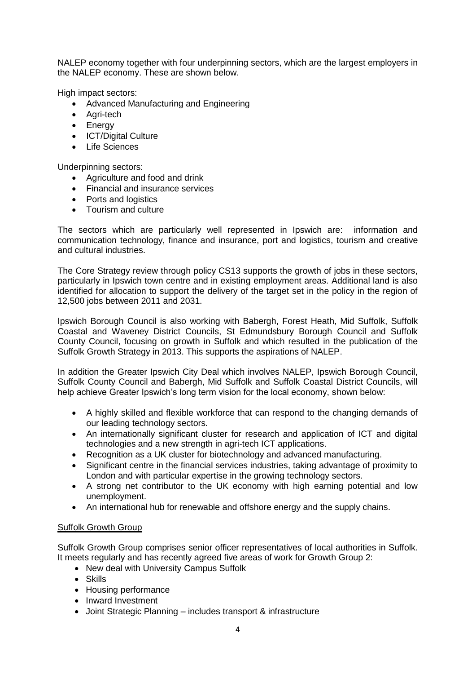NALEP economy together with four underpinning sectors, which are the largest employers in the NALEP economy. These are shown below.

High impact sectors:

- **Advanced Manufacturing and Engineering**
- Agri-tech
- Energy
- ICT/Digital Culture
- ' Life Sciences

Underpinning sectors:

- Agriculture and food and drink
- **•** Financial and insurance services
- Ports and logistics
- Tourism and culture

The sectors which are particularly well represented in Ipswich are: information and communication technology, finance and insurance, port and logistics, tourism and creative and cultural industries.

The Core Strategy review through policy CS13 supports the growth of jobs in these sectors, particularly in Ipswich town centre and in existing employment areas. Additional land is also identified for allocation to support the delivery of the target set in the policy in the region of 12,500 jobs between 2011 and 2031.

Ipswich Borough Council is also working with Babergh, Forest Heath, Mid Suffolk, Suffolk Coastal and Waveney District Councils, St Edmundsbury Borough Council and Suffolk County Council, focusing on growth in Suffolk and which resulted in the publication of the Suffolk Growth Strategy in 2013. This supports the aspirations of NALEP.

In addition the Greater Ipswich City Deal which involves NALEP, Ipswich Borough Council, Suffolk County Council and Babergh, Mid Suffolk and Suffolk Coastal District Councils, will help achieve Greater Ipswich's long term vision for the local economy, shown below:

- ' A highly skilled and flexible workforce that can respond to the changing demands of our leading technology sectors.
- An internationally significant cluster for research and application of ICT and digital technologies and a new strength in agri-tech ICT applications.
- $\bullet$ Recognition as a UK cluster for biotechnology and advanced manufacturing.
- $\bullet$  Significant centre in the financial services industries, taking advantage of proximity to London and with particular expertise in the growing technology sectors.
- ' A strong net contributor to the UK economy with high earning potential and low unemployment.
- An international hub for renewable and offshore energy and the supply chains.

# Suffolk Growth Group

Suffolk Growth Group comprises senior officer representatives of local authorities in Suffolk. It meets regularly and has recently agreed five areas of work for Growth Group 2:

- New deal with University Campus Suffolk
- ' Skills
- Housing performance
- Inward Investment
- Joint Strategic Planning includes transport & infrastructure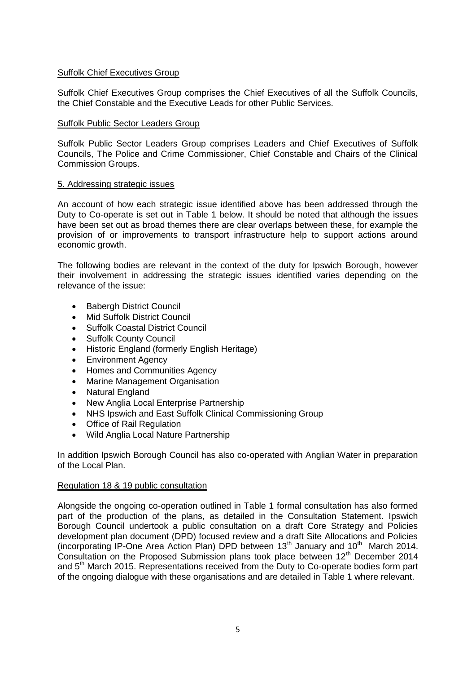# Suffolk Chief Executives Group

Suffolk Chief Executives Group comprises the Chief Executives of all the Suffolk Councils, the Chief Constable and the Executive Leads for other Public Services.

# Suffolk Public Sector Leaders Group

Suffolk Public Sector Leaders Group comprises Leaders and Chief Executives of Suffolk Councils, The Police and Crime Commissioner, Chief Constable and Chairs of the Clinical Commission Groups.

# 5. Addressing strategic issues

An account of how each strategic issue identified above has been addressed through the Duty to Co-operate is set out in Table 1 below. It should be noted that although the issues have been set out as broad themes there are clear overlaps between these, for example the provision of or improvements to transport infrastructure help to support actions around economic growth.

The following bodies are relevant in the context of the duty for Ipswich Borough, however their involvement in addressing the strategic issues identified varies depending on the relevance of the issue:

- $\bullet$ Babergh District Council
- $\bullet$ Mid Suffolk District Council
- 'Suffolk Coastal District Council
- $\bullet$ Suffolk County Council
- $\bullet$ Historic England (formerly English Heritage)
- $\bullet$ Environment Agency
- $\bullet$ Homes and Communities Agency
- 'Marine Management Organisation
- $\bullet$ Natural England
- $\bullet$ New Anglia Local Enterprise Partnership
- $\bullet$ NHS Ipswich and East Suffolk Clinical Commissioning Group
- 'Office of Rail Regulation
- $\bullet$ Wild Anglia Local Nature Partnership

In addition Ipswich Borough Council has also co-operated with Anglian Water in preparation of the Local Plan.

#### Regulation 18 & 19 public consultation

Alongside the ongoing co-operation outlined in Table 1 formal consultation has also formed part of the production of the plans, as detailed in the Consultation Statement. Ipswich Borough Council undertook a public consultation on a draft Core Strategy and Policies development plan document (DPD) focused review and a draft Site Allocations and Policies (incorporating IP-One Area Action Plan) DPD between  $13<sup>th</sup>$  January and  $10<sup>th</sup>$  March 2014. Consultation on the Proposed Submission plans took place between 12th December 2014 and 5<sup>th</sup> March 2015. Representations received from the Duty to Co-operate bodies form part of the ongoing dialogue with these organisations and are detailed in Table 1 where relevant.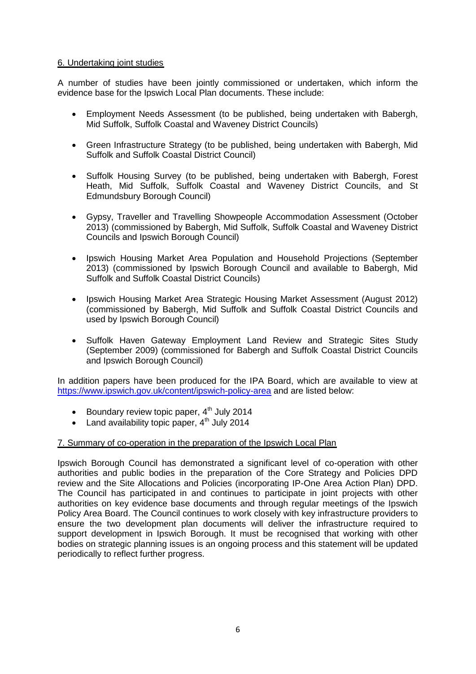# 6. Undertaking joint studies

A number of studies have been jointly commissioned or undertaken, which inform the evidence base for the Ipswich Local Plan documents. These include:

- $\bullet$  Employment Needs Assessment (to be published, being undertaken with Babergh, Mid Suffolk, Suffolk Coastal and Waveney District Councils)
- ' Green Infrastructure Strategy (to be published, being undertaken with Babergh, Mid Suffolk and Suffolk Coastal District Council)
- $\bullet$  Suffolk Housing Survey (to be published, being undertaken with Babergh, Forest Heath, Mid Suffolk, Suffolk Coastal and Waveney District Councils, and St Edmundsbury Borough Council)
- $\bullet$  Gypsy, Traveller and Travelling Showpeople Accommodation Assessment (October 2013) (commissioned by Babergh, Mid Suffolk, Suffolk Coastal and Waveney District Councils and Ipswich Borough Council)
- $\bullet$  Ipswich Housing Market Area Population and Household Projections (September 2013) (commissioned by Ipswich Borough Council and available to Babergh, Mid Suffolk and Suffolk Coastal District Councils)
- $\bullet$  Ipswich Housing Market Area Strategic Housing Market Assessment (August 2012) (commissioned by Babergh, Mid Suffolk and Suffolk Coastal District Councils and used by Ipswich Borough Council)
- $\bullet$  Suffolk Haven Gateway Employment Land Review and Strategic Sites Study (September 2009) (commissioned for Babergh and Suffolk Coastal District Councils and Ipswich Borough Council)

In addition papers have been produced for the IPA Board, which are available to view at https://www.ipswich.gov.uk/content/ipswich-policy-area and are listed below:

- $\bullet$ Boundary review topic paper, 4<sup>th</sup> July 2014
- Land availability topic paper,  $4^{\text{th}}$  July 2014

### 7. Summary of co-operation in the preparation of the Ipswich Local Plan

Ipswich Borough Council has demonstrated a significant level of co-operation with other authorities and public bodies in the preparation of the Core Strategy and Policies DPD review and the Site Allocations and Policies (incorporating IP-One Area Action Plan) DPD. The Council has participated in and continues to participate in joint projects with other authorities on key evidence base documents and through regular meetings of the Ipswich Policy Area Board. The Council continues to work closely with key infrastructure providers to ensure the two development plan documents will deliver the infrastructure required to support development in Ipswich Borough. It must be recognised that working with other bodies on strategic planning issues is an ongoing process and this statement will be updated periodically to reflect further progress.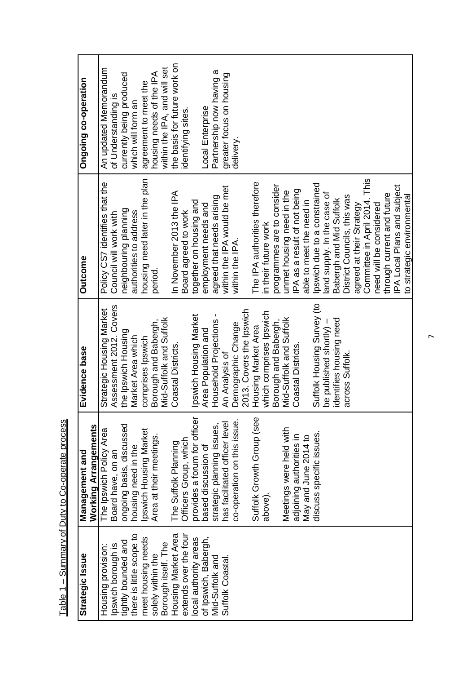| Strategic Issue          | Working Arrangements<br>Management and | Evidence base              | <b>Outcome</b>                   | Ongoing co-operation         |
|--------------------------|----------------------------------------|----------------------------|----------------------------------|------------------------------|
| Housing provision:       | The Ipswich Policy Area                | Strategic Housing Market   | Policy CS7 identifies that the   | An updated Memorandum        |
| Ipswich borough is       | Board have, on an                      | Assessment 2012. Covers    | Council will work with           | of Understanding is          |
| tightly bounded and      | ongoing basis, discussed               | the Ipswich Housing        | neighbouring planning            | currently being produced     |
| there is little scope to | housing need in the                    | Market Area which          | authorities to address           | which will form an           |
| meet housing needs       | Ipswich Housing Market                 | comprises Ipswich          | housing need later in the plan   | agreement to meet the        |
| solely within the        | Area at their meetings.                | Borough and Babergh,       | period.                          | housing needs of the IPA     |
| Borough itself. The      |                                        | Mid-Suffolk and Suffolk    |                                  | within the IPA, and will set |
| Housing Market Area      | The Suffolk Planning                   | Coastal Districts.         | In November 2013 the IPA         | the basis for future work on |
| extends over the four    | Officers Group, which                  |                            | Board agreed to work             | identifying sites.           |
| local authority areas    | provides a forum for officer           | pswich Housing Market      | together on housing and          |                              |
| of Ipswich, Babergh,     | based discussion of                    | Area Population and        | employment needs and             | Local Enterprise             |
| Mid-Suffolk and          | strategic planning issues,             | Household Projections-     | agreed that needs arising        | Partnership now having a     |
| Suffolk Coastal.         | has facilitated officer level          | An Analysis of             | within the IPA would be met      | greater focus on housing     |
|                          | co-operation on this issue.            | Demographic Change         | within the IPA.                  | delivery.                    |
|                          |                                        | 2013. Covers the Ipswich   |                                  |                              |
|                          | Suffolk Growth Group (see              | Housing Market Area        | The IPA authorities therefore    |                              |
|                          | above)                                 | which comprises Ipswich    | in their future work             |                              |
|                          |                                        | Borough and Babergh,       | programmes are to consider       |                              |
|                          | Meetings were held with                | Mid-Suffolk and Suffolk    | unmet housing need in the        |                              |
|                          | adjoining authorities in               | Coastal Districts.         | IPA as a result of not being     |                              |
|                          | May and June 2014 to                   |                            | able to meet the need in         |                              |
|                          | discuss specific issues.               | Suffolk Housing Survey (to | Ipswich due to a constrained     |                              |
|                          |                                        | be published shortly) -    | land supply. In the case of      |                              |
|                          |                                        | identifies housing need    | Babergh and Mid Suffolk          |                              |
|                          |                                        | across Suffolk.            | District Councils, this was      |                              |
|                          |                                        |                            | agreed at their Strategy         |                              |
|                          |                                        |                            | This<br>Committee in April 2014. |                              |
|                          |                                        |                            | need will be considered          |                              |
|                          |                                        |                            | through current and future       |                              |
|                          |                                        |                            | IPA Local Plans and subject      |                              |
|                          |                                        |                            | to strategic environmental       |                              |

Table 1 - Summary of Duty to Co-operate process Table 1 – Summary of Duty to Co-operate process **,**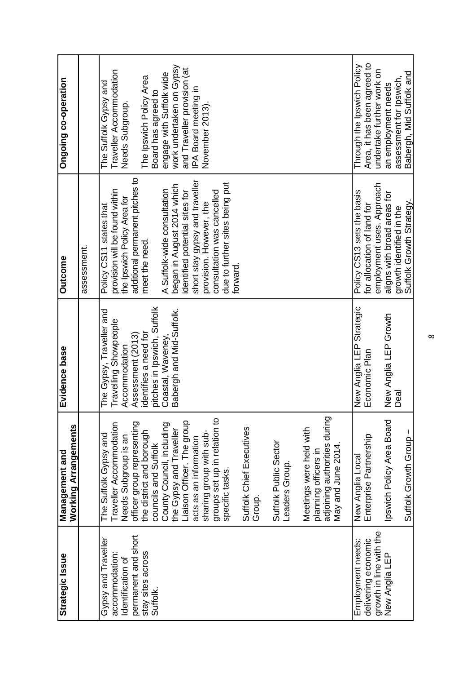| Strategic Issue                                            | <b>Working Arrangements</b><br>Management and                                                        | Evidence base                                                             | <b>Outcome</b>                                                                              | Ongoing co-operation                                                                |
|------------------------------------------------------------|------------------------------------------------------------------------------------------------------|---------------------------------------------------------------------------|---------------------------------------------------------------------------------------------|-------------------------------------------------------------------------------------|
|                                                            |                                                                                                      |                                                                           | assessment.                                                                                 |                                                                                     |
| Gypsy and Traveller<br>accommodation:<br>Identification of | Traveller Accommodation<br>The Suffolk Gypsy and<br>Needs Subgroup is an                             | The Gypsy, Traveller and<br>Travelling Showpeople<br>Accommodation        | provision will be found within<br>the Ipswich Policy Area for<br>Policy CS11 states that    | Traveller Accommodation<br>The Suffolk Gypsy and<br>Needs Subgroup.                 |
| permanent and short<br>stay sites across<br>Suffolk.       | officer group representing<br>the district and borough<br>councils and Suffolk                       | pitches in Ipswich, Suffolk<br>Assessment (2013)<br>identifies a need for | additional permanent pitches to<br>meet the need.                                           | The Ipswich Policy Area<br>Board has agreed to                                      |
|                                                            | Liaison Officer. The group<br>County Council, including<br>the Gypsy and Traveller                   | Babergh and Mid-Suffolk.<br>Coastal, Waveney,                             | began in August 2014 which<br>A Suffolk-wide consultation<br>identified potential sites for | work undertaken on Gypsy<br>and Traveller provision (at<br>engage with Suffolk wide |
|                                                            | groups set up in relation to<br>sharing group with sub-<br>acts as an information                    |                                                                           | short stay gypsy and traveller<br>consultation was cancelled<br>provision. However, the     | IPA Board meeting in<br>November 2013).                                             |
|                                                            | specific tasks.                                                                                      |                                                                           | due to further sites being put<br>forward.                                                  |                                                                                     |
|                                                            | Suffolk Chief Executives<br>Group.                                                                   |                                                                           |                                                                                             |                                                                                     |
|                                                            | Suffolk Public Sector<br>Leaders Group.                                                              |                                                                           |                                                                                             |                                                                                     |
|                                                            | adjoining authorities during<br>Meetings were held with<br>May and June 2014<br>planning officers in |                                                                           |                                                                                             |                                                                                     |
| delivering economic<br>Employment needs:                   | Enterprise Partnership<br>New Anglia Local                                                           | New Anglia LEP Strategic<br>Economic Plan                                 | Policy CS13 sets the basis<br>for allocation of land for                                    | Area, it has been agreed to<br>Through the Ipswich Policy                           |
| growth in line with the                                    |                                                                                                      |                                                                           | employment uses. Approach                                                                   | undertake further work on                                                           |
| New Anglia LEP                                             | Ipswich Policy Area Board                                                                            | New Anglia LEP Growth                                                     | aligns with broad areas for                                                                 | an employment needs                                                                 |
|                                                            | Suffolk Growth Group -                                                                               | Deal                                                                      | Suffolk Growth Strategy.<br>growth identified in the                                        | Babergh, Mid Suffolk and<br>assessment for Ipswich                                  |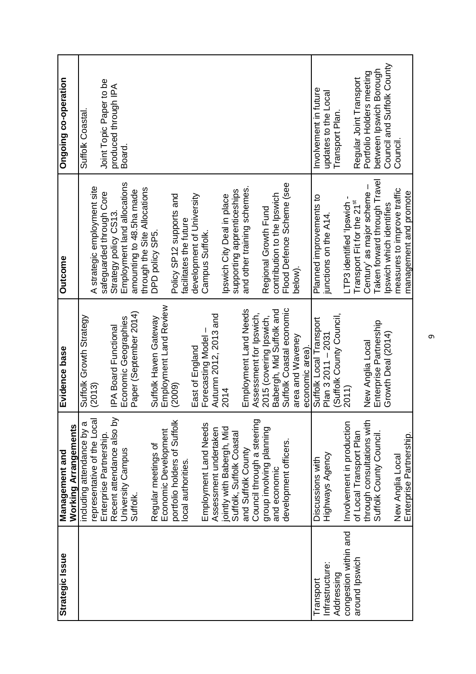| Strategic Issue       | Management and               | Evidence base            | <b>Outcome</b>               | Ongoing co-operation       |
|-----------------------|------------------------------|--------------------------|------------------------------|----------------------------|
|                       | Working Arrangements         |                          |                              |                            |
|                       | including attendance by a    | Suffolk Growth Strategy  |                              | <b>Suffolk Coastal.</b>    |
|                       | representative of the Local  | (2013)                   | A strategic employment site  |                            |
|                       | Enterprise Partnership.      |                          | safeguarded through Core     | Joint Topic Paper to be    |
|                       | Recent attendance also by    | IPA Board Functional     | Strategy policy CS13.        | produced through IPA       |
|                       | University Campus            | Economic Geographies     | Employment land allocations  | Board.                     |
|                       | Suffolk.                     | Paper (September 2014)   | amounting to 48.5ha made     |                            |
|                       |                              |                          | through the Site Allocations |                            |
|                       | Regular meetings of          | Suffolk Haven Gateway    | DPD policy SP5.              |                            |
|                       | Economic Development         | Employment Land Review   |                              |                            |
|                       | portfolio holders of Suffolk | (2009)                   | Policy SP12 supports and     |                            |
|                       | local authorities.           |                          | facilitates the future       |                            |
|                       |                              | East of England          | development of University    |                            |
|                       | Employment Land Needs        | Forecasting Model        | Campus Suffolk.              |                            |
|                       | Assessment undertaken        | Autumn 2012, 2013 and    |                              |                            |
|                       | jointly with Babergh, Mid    | 2014                     | pswich City Deal in place    |                            |
|                       | Suffolk, Suffolk Coastal     |                          | supporting apprenticeships   |                            |
|                       | and Suffolk County           | Employment Land Needs    | and other training schemes.  |                            |
|                       | Council through a steering   | Assessment for Ipswich,  |                              |                            |
|                       | group involving planning     | 2015 (covering Ipswich,  | Regional Growth Fund         |                            |
|                       | and economic                 | Babergh, Mid Suffolk and | contribution to the Ipswich  |                            |
|                       | development officers.        | Suffolk Coastal economic | Flood Defence Scheme (see    |                            |
|                       |                              | area and Waveney         | below)                       |                            |
|                       |                              | economic area).          |                              |                            |
| Transport             | Discussions with             | Suffolk Local Transport  | Planned improvements to      | Involvement in future      |
| Infrastructure:       | Highways Agency              | Plan 3 2011 - 2031       | junctions on the A14         | updates to the Local       |
| Addressing            |                              | (Suffolk County Council, |                              | Transport Plan             |
| congestion within and | Involvement in production    | 2011)                    | LTP3 identified 'Ipswich -   |                            |
| around Ipswich        | of Local Transport Plan      |                          | Transport Fit for the 21st   | Regular Joint Transport    |
|                       | through consultations with   | New Anglia Local         | Century' as major scheme     | Portfolio Holders meeting  |
|                       | Suffolk County Council.      | Enterprise Partnership   | Taken forward through Travel | between Ipswich Borough    |
|                       |                              | Growth Deal (2014)       | lpswich which identifies     | Council and Suffolk County |
|                       | New Anglia Local             |                          | measures to improve traffic  | Council                    |
|                       | Enterprise Partnership.      |                          | management and promote       |                            |

 $\sigma$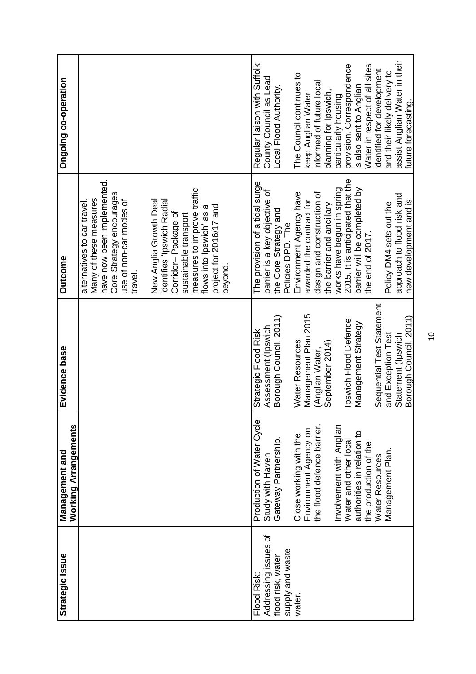| Strategic Issue                                                                        | <b>Working Arrangements</b><br>Management and                                                                                                                                                                                                                                                             | Evidence base                                                                                                                                                                                                                                                                                             | <b>Outcome</b>                                                                                                                                                                                                                                                                                                                                                                                                                           | uoja:ado-oo foulofou                                                                                                                                                                                                                                                                                                                                                                                                          |
|----------------------------------------------------------------------------------------|-----------------------------------------------------------------------------------------------------------------------------------------------------------------------------------------------------------------------------------------------------------------------------------------------------------|-----------------------------------------------------------------------------------------------------------------------------------------------------------------------------------------------------------------------------------------------------------------------------------------------------------|------------------------------------------------------------------------------------------------------------------------------------------------------------------------------------------------------------------------------------------------------------------------------------------------------------------------------------------------------------------------------------------------------------------------------------------|-------------------------------------------------------------------------------------------------------------------------------------------------------------------------------------------------------------------------------------------------------------------------------------------------------------------------------------------------------------------------------------------------------------------------------|
|                                                                                        |                                                                                                                                                                                                                                                                                                           |                                                                                                                                                                                                                                                                                                           | have now been implemented.<br>measures to improve traffic<br>Core Strategy encourages<br>Many of these measures<br>New Anglia Growth Deal<br>identifies 'Ipswich Radial<br>use of non-car modes of<br>alternatives to car travel<br>project for 2016/17 and<br>flows into Ipswich' as a<br>Corridor-Package of<br>sustainable transport<br>beyond.<br>travel                                                                             |                                                                                                                                                                                                                                                                                                                                                                                                                               |
| Addressing issues of<br>supply and waste<br>flood risk, water<br>Flood Risk:<br>water. | Production of Water Cycle<br>the flood defence barrier.<br>Involvement with Anglian<br>Environment Agency on<br>authorities in relation to<br>Close working with the<br>Gateway Partnership.<br>Water and other local<br>the production of the<br>Management Plan.<br>Study with Haven<br>Water Resources | Sequential Test Statement<br>Management Plan 2015<br>Borough Council, 2011)<br>Borough Council, 2011)<br>Ipswich Flood Defence<br>Management Strategy<br>Assessment (Ipswich<br>Strategic Flood Risk<br>and Exception Test<br>Statement (Ipswich<br>Water Resources<br>September 2014)<br>(Anglian Water, | 2015. It is anticipated that the<br>The provision of a tidal surge<br>barrier will be completed by<br>works have begun in spring<br>barrier is a key objective of<br>Environment Agency have<br>design and construction of<br>approach to flood risk and<br>awarded the contract for<br>new development and is<br>Policy DM4 sets out the<br>the barrier and ancillary<br>the Core Strategy and<br>Policies DPD. The<br>the end of 2017. | assist Anglian Water in their<br>Water in respect of all sites<br>Regular liaison with Suffolk<br>provision. Correspondence<br>identified for development<br>and their likely delivery to<br>The Council continues to<br>County Council as Lead<br>informed of future local<br>s also sent to Anglian<br>Local Flood Authority.<br>planning for Ipswich,<br>keep Anglian Water<br>particularly housing<br>future forecasting. |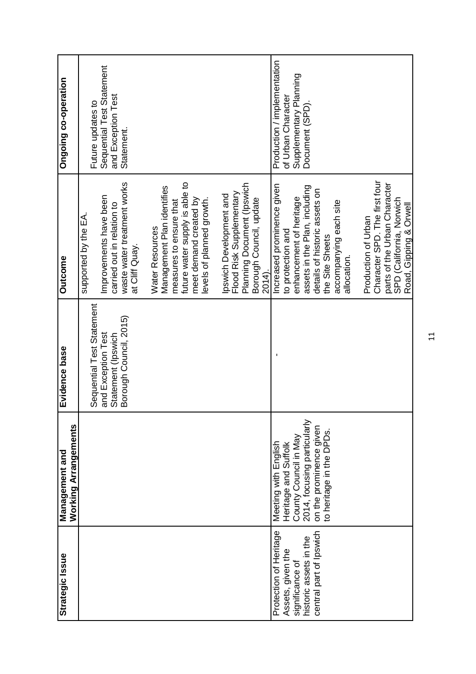| Strategic Issue                                                                                                     | Working Arrangements<br>Management and                                                                                                                      | Evidence base                                                                                   | <b>Outcome</b>                                                                                                                                                                                           | Ongoing co-operation                                                                           |
|---------------------------------------------------------------------------------------------------------------------|-------------------------------------------------------------------------------------------------------------------------------------------------------------|-------------------------------------------------------------------------------------------------|----------------------------------------------------------------------------------------------------------------------------------------------------------------------------------------------------------|------------------------------------------------------------------------------------------------|
|                                                                                                                     |                                                                                                                                                             | Sequential Test Statement<br>Borough Council, 2015)<br>and Exception Test<br>Statement (Ipswich | waste water treatment works<br>Improvements have been<br>carried out in relation to<br>supported by the EA.<br>at Cliff Quay.                                                                            | Sequential Test Statement<br>and Exception Test<br>Future updates to<br>Statement.             |
|                                                                                                                     |                                                                                                                                                             |                                                                                                 | future water supply is able to<br>Management Plan identifies<br>meet demand created by<br>evels of planned growth.<br>measures to ensure that<br>Water Resources                                         |                                                                                                |
|                                                                                                                     |                                                                                                                                                             |                                                                                                 | Planning Document (Ipswich<br>Flood Risk Supplementary<br>Ipswich Development and<br>Borough Council, update<br>2014).                                                                                   |                                                                                                |
| central part of Ipswich<br>Protection of Heritage<br>historic assets in the<br>Assets, given the<br>significance of | 2014, focusing particularly<br>on the prominence given<br>to heritage in the DPDs.<br>County Council in May<br>Meeting with English<br>Heritage and Suffolk |                                                                                                 | Increased prominence given<br>assets in the Plan, including<br>details of historic assets on<br>enhancement of heritage<br>accompanying each site<br>to protection and<br>the Site Sheets<br>allocation. | Production / implementation<br>Supplementary Planning<br>of Urban Character<br>Document (SPD). |
|                                                                                                                     |                                                                                                                                                             |                                                                                                 | Character SPD. The first four<br>parts of the Urban Character<br>SPD (California, Norwich<br>Road, Gipping & Orwell<br>Production of Urban                                                               |                                                                                                |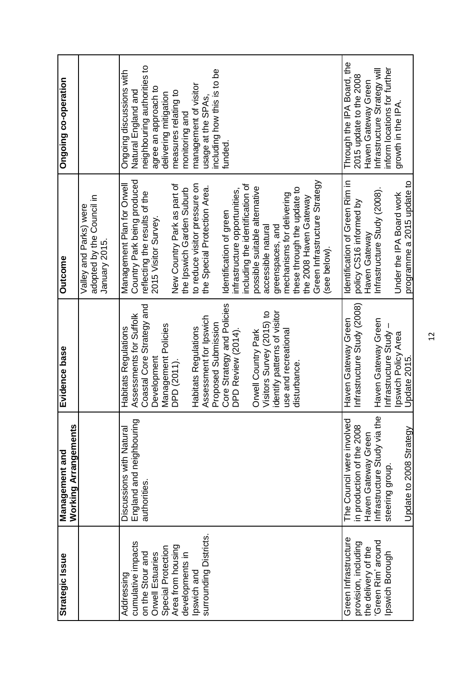| Strategic Issue                                                                                                                                                                 | <b>Working Arrangements</b><br>Management and                        | Evidence base                                                                                                                                                                                                                                                                                                                                                                              | <b>Outcome</b>                                                                                                                                                                                                                                                                                                                                                                                                                                                                                                                                                  | Ongoing co-operation                                                                                                                                                                                                                                              |
|---------------------------------------------------------------------------------------------------------------------------------------------------------------------------------|----------------------------------------------------------------------|--------------------------------------------------------------------------------------------------------------------------------------------------------------------------------------------------------------------------------------------------------------------------------------------------------------------------------------------------------------------------------------------|-----------------------------------------------------------------------------------------------------------------------------------------------------------------------------------------------------------------------------------------------------------------------------------------------------------------------------------------------------------------------------------------------------------------------------------------------------------------------------------------------------------------------------------------------------------------|-------------------------------------------------------------------------------------------------------------------------------------------------------------------------------------------------------------------------------------------------------------------|
|                                                                                                                                                                                 |                                                                      |                                                                                                                                                                                                                                                                                                                                                                                            | adopted by the Council in<br>Valley and Parks) were<br>January 2015.                                                                                                                                                                                                                                                                                                                                                                                                                                                                                            |                                                                                                                                                                                                                                                                   |
| surrounding Districts.<br>cumulative impacts<br>Area from housing<br>Special Protection<br>on the Stour and<br>Orwell Estuaries<br>developments in<br>Ipswich and<br>Addressing | England and neighbouring<br>Discussions with Natural<br>authorities. | Core Strategy and Policies<br>Coastal Core Strategy and<br>identify patterns of visitor<br>Visitors Survey (2015) to<br>Assessments for Suffolk<br>Assessment for Ipswich<br>Proposed Submission<br>Management Policies<br>Habitats Regulations<br>Habitats Regulations<br>DPD Review (2014).<br>use and recreational<br>Orwell Country Park<br>Development<br>DPD (2011).<br>disturbance. | Country Park being produced<br>Green Infrastructure Strategy<br>Management Plan for Orwell<br>New Country Park as part of<br>to reduce visitor pressure on<br>including the identification of<br>the Special Protection Area.<br>possible suitable alternative<br>the Ipswich Garden Suburb<br>these through the update to<br>infrastructure opportunities,<br>reflecting the results of the<br>mechanisms for delivering<br>the 2008 Haven Gateway<br>Identification of green<br>2015 Visitor Survey.<br>greenspaces, and<br>accessible natural<br>(see below) | neighbouring authorities to<br>including how this is to be<br>Ongoing discussions with<br>management of visitor<br>agree an approach to<br>Natural England and<br>measures relating to<br>delivering mitigation<br>usage at the SPAs,<br>monitoring and<br>funded |
| Green Infrastructure<br>provision, including                                                                                                                                    | The Council were involved<br>in production of the 2008               | Infrastructure Study (2008)<br>Haven Gateway Green                                                                                                                                                                                                                                                                                                                                         | Identification of Green Rim in<br>policy CS16 informed by                                                                                                                                                                                                                                                                                                                                                                                                                                                                                                       | Through the IPA Board, the<br>2015 update to the 2008                                                                                                                                                                                                             |
| the delivery of the                                                                                                                                                             | Haven Gateway Green                                                  |                                                                                                                                                                                                                                                                                                                                                                                            | Haven Gateway                                                                                                                                                                                                                                                                                                                                                                                                                                                                                                                                                   | Haven Gateway Green                                                                                                                                                                                                                                               |
| Green Rim' around                                                                                                                                                               | Infrastructure Study via the                                         | Haven Gateway Green                                                                                                                                                                                                                                                                                                                                                                        | Infrastructure Study (2008).                                                                                                                                                                                                                                                                                                                                                                                                                                                                                                                                    | Infrastructure Strategy will                                                                                                                                                                                                                                      |
| pswich Borough                                                                                                                                                                  | steering group.                                                      | Infrastructure Study -<br>Ipswich Policy Area                                                                                                                                                                                                                                                                                                                                              | Under the IPA Board work                                                                                                                                                                                                                                                                                                                                                                                                                                                                                                                                        | inform locations for further                                                                                                                                                                                                                                      |
|                                                                                                                                                                                 | Update to 2008 Strategy                                              | Update 2015.                                                                                                                                                                                                                                                                                                                                                                               | programme a 2015 update to                                                                                                                                                                                                                                                                                                                                                                                                                                                                                                                                      | growth in the IPA.                                                                                                                                                                                                                                                |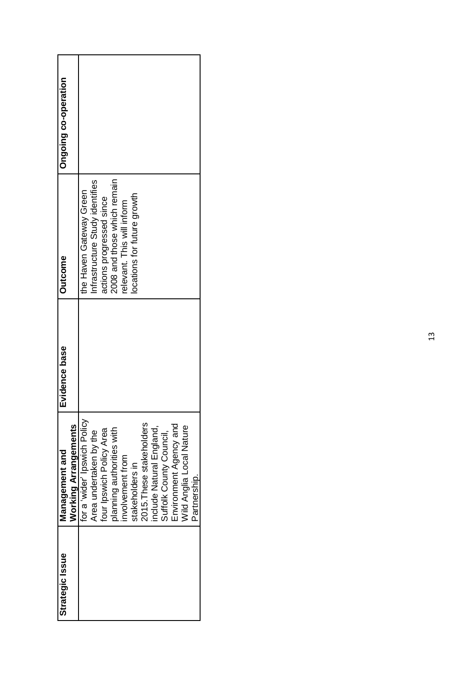| Ongoing co-operation |                             |                              |                                 |                          |                             |                           |                            |                          |                          |                         |                        |                          |              |
|----------------------|-----------------------------|------------------------------|---------------------------------|--------------------------|-----------------------------|---------------------------|----------------------------|--------------------------|--------------------------|-------------------------|------------------------|--------------------------|--------------|
| <b>Outcome</b>       |                             | the Haven Gateway Green      | Infrastructure Study identifies | actions progressed since | 2008 and those which remain | elevant. This will inform | ocations for future growth |                          |                          |                         |                        |                          |              |
| Evidence base        |                             |                              |                                 |                          |                             |                           |                            |                          |                          |                         |                        |                          |              |
| Management and       | <b>Working Arrangements</b> | for a 'wider' Ipswich Policy | Area undertaken by the          | four Ipswich Policy Area | planning authorities with   | involvement from          | stakeholders in            | 2015. These stakeholders | include Natural England, | Suffolk County Council, | Environment Agency and | Wild Anglia Local Nature | Partnership. |
| Strategic Issue      |                             |                              |                                 |                          |                             |                           |                            |                          |                          |                         |                        |                          |              |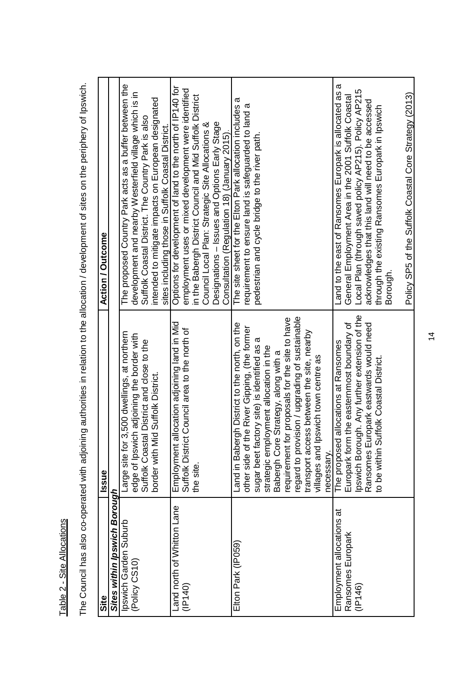| č |  |
|---|--|
|   |  |
| ï |  |
|   |  |
| ì |  |
|   |  |
|   |  |
|   |  |
|   |  |
|   |  |
|   |  |
| ¢ |  |
|   |  |
|   |  |
|   |  |
|   |  |
|   |  |
|   |  |
|   |  |
| ź |  |
|   |  |
|   |  |

The Council has also co-operated with adjoining authorities in relation to the allocation / development of sites on the periphery of Ipswich. The Council has also co-operated with adjoining authorities in relation to the allocation / development of sites on the periphery of Ipswich.

| Site                         | Issue                                                   | <b>Action / Outcome</b>                                                                      |
|------------------------------|---------------------------------------------------------|----------------------------------------------------------------------------------------------|
|                              |                                                         |                                                                                              |
| Sites within Ipswich Borough |                                                         |                                                                                              |
| Ipswich Garden Suburb        | 3,500 dwellings, at northern<br>Large site for          | The proposed Country Park acts as a buffer between the                                       |
| (Policy CS10)                | edge of Ipswich adjoining the border with               | development and nearby Westerfield village which is in                                       |
|                              | Suffolk Coastal District and close to the               | Suffolk Coastal District. The Country Park is also                                           |
|                              | border with Mid Suffolk District.                       | intended to mitigate impacts on European designated                                          |
|                              |                                                         | sites including those in Suffolk Coastal District.                                           |
| Land north of Whitton Lane   | Employment allocation adjoining land in Mid             | Options for development of land to the north of IP140 for                                    |
| (1P140)                      | Council area to the north of<br><b>Suffolk District</b> | employment uses or mixed development were identified                                         |
|                              | the site.                                               | in the Babergh District Council and Mid Suffolk District                                     |
|                              |                                                         | Council Local Plan: Strategic Site Allocations &                                             |
|                              |                                                         | Designations - Issues and Options Early Stage<br>Consultation (Regulation 18) (January 2015) |
| Elton Park (IP059)           | gh District to the north, on the<br>Land in Baber       | σ<br>The site sheet for the Elton Park allocation includes                                   |
|                              | he River Gipping, (the former<br>other side of t        | requirement to ensure land is safeguarded to land a                                          |
|                              | sugar beet factory site) is identified as a             | pedestrian and cycle bridge to the river path                                                |
|                              | strategic employment allocation in the                  |                                                                                              |
|                              | Strategy, along with a<br>Babergh Core                  |                                                                                              |
|                              | requirement for proposals for the site to have          |                                                                                              |
|                              | ision / upgrading of sustainable<br>regard to provi     |                                                                                              |
|                              | transport access between the site, nearby               |                                                                                              |
|                              | villages and Ipswich town centre as                     |                                                                                              |
|                              | necessary.                                              |                                                                                              |
| Employment allocations at    | allocations at Ransomes<br>The proposed                 | ω<br>Land to the east of Ransomes Europark is allocated as                                   |
| Ransomes Europark            | Europark form the easternmost boundary of               | General Employment Area in the 2001 Suffolk Coastal                                          |
| (1P146)                      | Ipswich Borough. Any further extension of the           | Local Plan (through saved policy AP215). Policy AP215                                        |
|                              | Ransomes Europark eastwards would need                  | acknowledges that this land will need to be accessed                                         |
|                              | to be within Suffolk Coastal District                   | through the existing Ransomes Europark in Ipswich                                            |
|                              |                                                         | Borougn.                                                                                     |
|                              |                                                         | Policy SP5 of the Suffolk Coastal Core Strategy (2013)                                       |
|                              |                                                         |                                                                                              |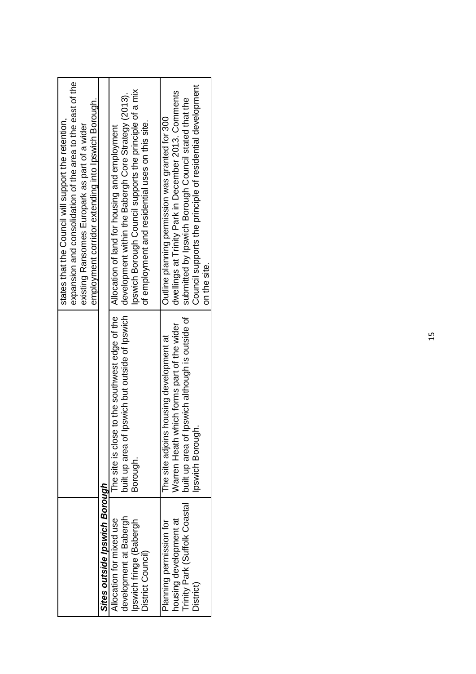|                                                                                                    |                                                                                                                                                              | expansion and consolidation of the area to the east of the<br>employment corridor extending into Ipswich Borough.<br>states that the Council will support the retention,<br>existing Ransomes Europark as part of a wider                                                       |
|----------------------------------------------------------------------------------------------------|--------------------------------------------------------------------------------------------------------------------------------------------------------------|---------------------------------------------------------------------------------------------------------------------------------------------------------------------------------------------------------------------------------------------------------------------------------|
| Sites outside Ipswich Borough                                                                      |                                                                                                                                                              |                                                                                                                                                                                                                                                                                 |
| development at Babergh<br>Allocation for mixed use<br>Ipswich fringe (Babergh<br>District Council) | built up area of Ipswich but outside of Ipswich<br>Borough.                                                                                                  | Ipswich Borough Council supports the principle of a mix<br>development within the Babergh Core Strategy (2013).<br>of employment and residential uses on this site.<br>The site is close to the southwest edge of the $\parallel$ Allocation of land for housing and employment |
| Trinity Park (Suffolk Coastal<br>housing development at<br>Planning permission for<br>District)    | built up area of Ipswich although is outside of<br>Warren Heath which forms part of the wider<br>The site adjoins housing development at<br>Ipswich Borough. | Council supports the principle of residential development<br>dwellings at Trinity Park in December 2013. Comments<br>submitted by Ipswich Borough Council stated that the<br>Outline planning permission was granted for 300<br>on the site.                                    |